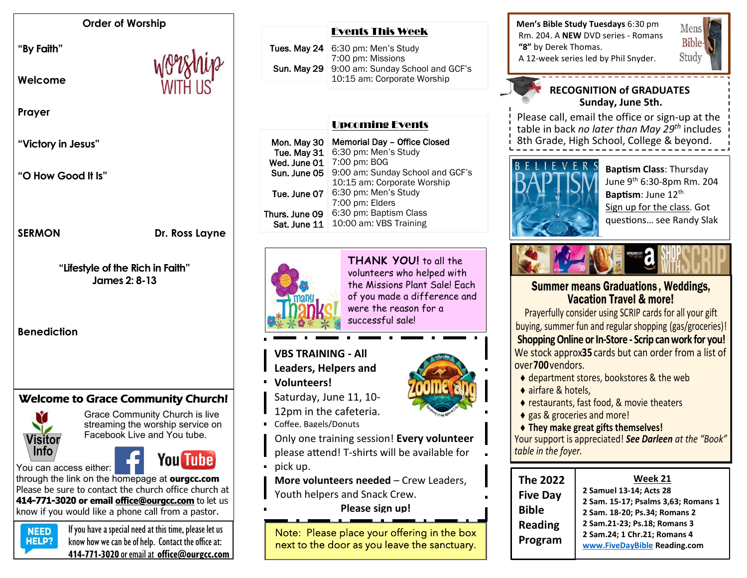#### **Order of Worship**

**"By Faith"** 

**Welcome** 

**Prayer**

**"Victory in Jesus"**

**"O How Good It Is"**

**SERMON** Dr. Ross Layne

**"Lifestyle of the Rich in Faith" James 2: 8-13**

**Benediction**

# Welcome to Grace Community Church!



Grace Community Church is live streaming the worship service on Facebook Live and You tube.

You can access either:



through the link on the homepage at **ourgcc.com**  Please be sure to contact the church office church at **414-771-3020 or email [office@ourgcc.com](mailto:office@ourgcc.com)** to let us know if you would like a phone call from a pastor.



 $N<sub>EED</sub>$  If you have a special need at this time, please let us **HELP?** know how we can be of help. Contact the office at: **414-771-3020** or email at **[office@ourgcc.com](mailto:office@ourgcc.com)**

#### Events This Week

| Tues. May $24 \mid 6:30 \text{ pm}$ : Men's Study   |
|-----------------------------------------------------|
| 7:00 pm: Missions                                   |
| <b>Sun. May 29</b> 9:00 am: Sunday School and GCF's |
| 10:15 am: Corporate Worship                         |

# Upcoming Events

| Mon. May 30<br>Tue. May 31     | Memorial Day - Office Closed<br>6:30 pm: Men's Study                   |
|--------------------------------|------------------------------------------------------------------------|
| Wed. June 01                   | 7:00 pm: BOG                                                           |
| Sun. June 05                   | 9:00 am: Sunday School and GCF's                                       |
| Tue, June 07                   | 10:15 am: Corporate Worship<br>6:30 pm: Men's Study<br>7:00 pm: Elders |
| Thurs. June 09<br>Sat. June 11 | 6:30 pm: Baptism Class<br>10:00 am: VBS Training                       |



**THANK YOU!** to all the volunteers who helped with the Missions Plant Sale! Each of you made a difference and were the reason for a successful sale!

# **VBS TRAINING - All**

- **Leaders, Helpers and**
- **Volunteers!**
- Saturday, June 11, 10-
- 12pm in the cafeteria.
- **Coffee, Bagels/Donuts**
- Only one training session! **Every volunteer**
- please attend! T-shirts will be available for
- pick up.

**More volunteers needed** – Crew Leaders, Youth helpers and Snack Crew.

**Please sign up!**

Note: Please place your offering in the box next to the door as you leave the sanctuary. **Men's Bible Study Tuesdays** 6:30 pm Rm. 204. A **NEW** DVD series - Romans **"8"** by Derek Thomas. A 12-week series led by Phil Snyder.

### **RECOGNITION of GRADUATES Sunday, June 5th.**

Please call, email the office or sign-up at the table in back *no later than May 29 th* includes 8th Grade, High School, College & beyond.



**Baptism Class**: Thursday June 9th 6:30-8pm Rm. 204 **Baptism**: June 12<sup>th</sup> Sign up for the class. Got questions… see Randy Slak

Mens **Bible** Study



# Summer means Graduations , Weddings, Vacation Travel & more!

Prayerfully consider using SCRIP cards for all your gift buying, summer fun and regular shopping (gas/groceries)! **Shopping Online or In-Store - Scrip can work for you!** We stock approx35 cards but can order from a list of over **700** vendors.

- ◆ department stores, bookstores & the web
- ◆ airfare & hotels.
- ◆ restaurants, fast food, & movie theaters
- ◆ gas & groceries and more!
- **They make great gifts themselves!**

Your support is appreciated! *See Darleen at the "Book" table in the foyer.*

| <b>The 2022</b> | Week 21                             |
|-----------------|-------------------------------------|
| <b>Five Day</b> | 2 Samuel 13-14; Acts 28             |
| <b>Bible</b>    | 2 Sam. 15-17; Psalms 3,63; Romans 1 |
|                 | 2 Sam. 18-20; Ps.34; Romans 2       |
| <b>Reading</b>  | 2 Sam.21-23; Ps.18; Romans 3        |
| Program         | 2 Sam.24; 1 Chr.21; Romans 4        |
|                 | www.FiveDayBible Reading.com        |

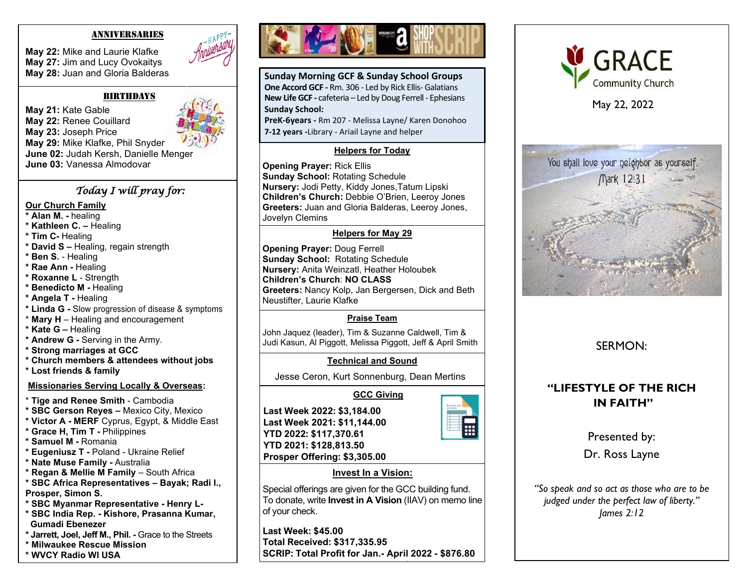#### ANNIVERSARIES

**May 22:** Mike and Laurie Klafke **May 27:** Jim and Lucy Ovokaitys **May 28:** Juan and Gloria Balderas

#### BIRthdAyS

**May 21:** Kate Gable **May 22:** Renee Couillard **May 23:** Joseph Price **May 29:** Mike Klafke, Phil Snyder **June 02:** Judah Kersh, Danielle Menger **June 03:** Vanessa Almodovar

#### *Today I will pray for:*

#### **Our Church Family**

- **\* Alan M. -** healing
- **\* Kathleen C. –** Healing
- **\* Tim C-** Healing
- **\* David S –** Healing, regain strength
- **\* Ben S.** Healing
- **\* Rae Ann -** Healing
- **\* Roxanne L**  Strength
- **\* Benedicto M -** Healing
- **\* Angela T -** Healing
- **\* Linda G -** Slow progression of disease & symptoms
- \* **Mary H**  Healing and encouragement
- **\* Kate G –** Healing
- **\* Andrew G -** Serving in the Army.
- **\* Strong marriages at GCC**
- **\* Church members & attendees without jobs**
- **\* Lost friends & family**

### **Missionaries Serving Locally & Overseas:**

- \* **Tige and Renee Smith** Cambodia
- **\* SBC Gerson Reyes –** Mexico City, Mexico
- **\* Victor A - MERF** Cyprus, Egypt, & Middle East
- **\* Grace H, Tim T -** Philippines
- **\* Samuel M -** Romania
- **\* Eugeniusz T -** Poland Ukraine Relief
- **\* Nate Muse Family -** Australia
- **\* Regan & Mellie M Family**  South Africa
- **\* SBC Africa Representatives – Bayak; Radi I.,**
- **Prosper, Simon S.**
- **\* SBC Myanmar Representative - Henry L-**
- **\* SBC India Rep. - Kishore, Prasanna Kumar, Gumadi Ebenezer**
- **\* Jarrett, Joel, Jeff M., Phil. -** Grace to the Streets
- **\* Milwaukee Rescue Mission**





**Sunday Morning GCF & Sunday School Groups One Accord GCF -** Rm. 306 - Led by Rick Ellis- Galatians **New Life GCF -** cafeteria – Led by Doug Ferrell - Ephesians **Sunday School:**

**PreK-6years -** Rm 207 - Melissa Layne/ Karen Donohoo **7-12 years -**Library - Ariail Layne and helper

#### **Helpers for Today**

**Opening Prayer:** Rick Ellis **Sunday School:** Rotating Schedule **Nursery:** Jodi Petty, Kiddy Jones,Tatum Lipski **Children's Church:** Debbie O'Brien, Leeroy Jones **Greeters:** Juan and Gloria Balderas, Leeroy Jones, Jovelyn Clemins

#### **Helpers for May 29**

**Opening Prayer:** Doug Ferrell **Sunday School:** Rotating Schedule **Nursery:** Anita Weinzatl, Heather Holoubek **Children's Church**: **NO CLASS Greeters:** Nancy Kolp, Jan Bergersen, Dick and Beth Neustifter, Laurie Klafke

## **Praise Team**

John Jaquez (leader), Tim & Suzanne Caldwell, Tim & Judi Kasun, Al Piggott, Melissa Piggott, Jeff & April Smith

### **Technical and Sound**

Jesse Ceron, Kurt Sonnenburg, Dean Mertins

# **GCC Giving**

**Last Week 2022: \$3,184.00 Last Week 2021: \$11,144.00 YTD 2022: \$117,370.61 YTD 2021: \$128,813.50 Prosper Offering: \$3,305.00**



#### **Invest In a Vision:**

Special offerings are given for the GCC building fund. To donate, write **Invest in A Vision** (IIAV) on memo line of your check.

**Last Week: \$45.00 Total Received: \$317,335.95 SCRIP: Total Profit for Jan.- April 2022 - \$876.80 Total Profit for Jan. - Dec. 2021: \$3,280.42**



May 22, 2022



# SERMON:

# **"LIFESTYLE OF THE RICH IN FAITH"**

Presented by:

Dr. Ross Layne

*"So speak and so act as those who are to be judged under the perfect law of liberty." James 2:12*